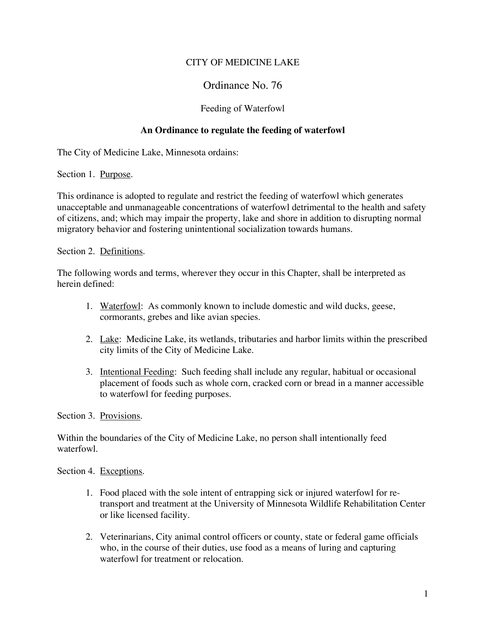## CITY OF MEDICINE LAKE

## Ordinance No. 76

## Feeding of Waterfowl

## **An Ordinance to regulate the feeding of waterfowl**

The City of Medicine Lake, Minnesota ordains:

Section 1. Purpose.

This ordinance is adopted to regulate and restrict the feeding of waterfowl which generates unacceptable and unmanageable concentrations of waterfowl detrimental to the health and safety of citizens, and; which may impair the property, lake and shore in addition to disrupting normal migratory behavior and fostering unintentional socialization towards humans.

Section 2. Definitions.

The following words and terms, wherever they occur in this Chapter, shall be interpreted as herein defined:

- 1. Waterfowl: As commonly known to include domestic and wild ducks, geese, cormorants, grebes and like avian species.
- 2. Lake: Medicine Lake, its wetlands, tributaries and harbor limits within the prescribed city limits of the City of Medicine Lake.
- 3. Intentional Feeding: Such feeding shall include any regular, habitual or occasional placement of foods such as whole corn, cracked corn or bread in a manner accessible to waterfowl for feeding purposes.

Section 3. Provisions.

Within the boundaries of the City of Medicine Lake, no person shall intentionally feed waterfowl.

Section 4. Exceptions.

- 1. Food placed with the sole intent of entrapping sick or injured waterfowl for retransport and treatment at the University of Minnesota Wildlife Rehabilitation Center or like licensed facility.
- 2. Veterinarians, City animal control officers or county, state or federal game officials who, in the course of their duties, use food as a means of luring and capturing waterfowl for treatment or relocation.